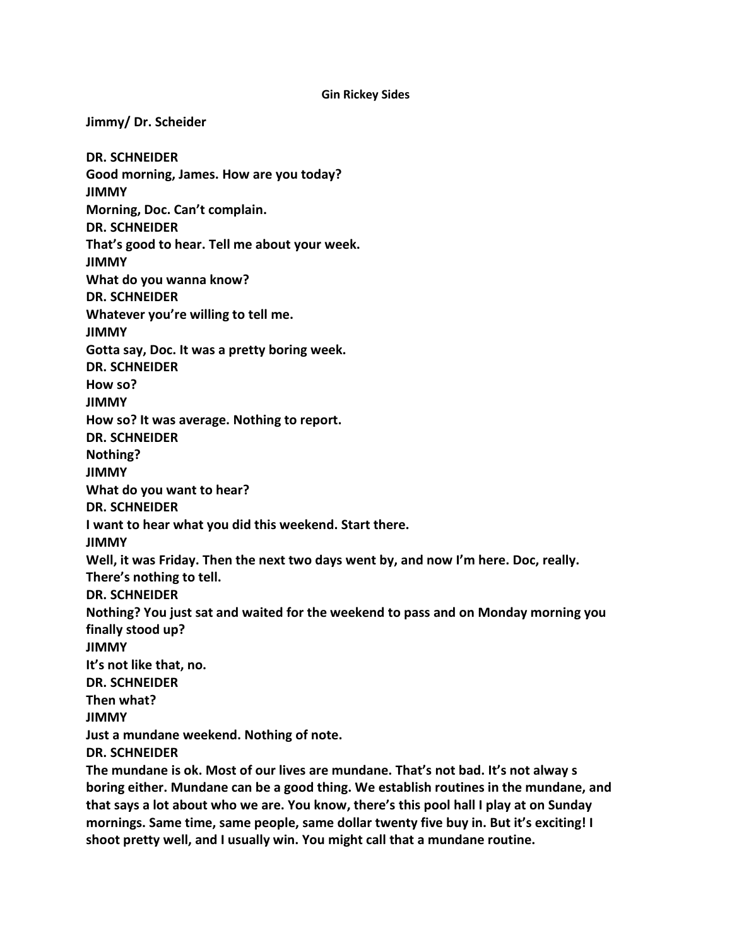#### **Gin Rickey Sides**

**Jimmy/ Dr. Scheider DR. SCHNEIDER Good morning, James. How are you today? JIMMY Morning, Doc. Can't complain. DR. SCHNEIDER That's good to hear. Tell me about your week. JIMMY What do you wanna know? DR. SCHNEIDER Whatever you're willing to tell me. JIMMY Gotta say, Doc. It was a pretty boring week. DR. SCHNEIDER How so? JIMMY How so? It was average. Nothing to report. DR. SCHNEIDER Nothing? JIMMY What do you want to hear? DR. SCHNEIDER I want to hear what you did this weekend. Start there. JIMMY Well, it was Friday. Then the next two days went by, and now I'm here. Doc, really. There's nothing to tell. DR. SCHNEIDER Nothing? You just sat and waited for the weekend to pass and on Monday morning you finally stood up? JIMMY It's not like that, no. DR. SCHNEIDER Then what? JIMMY Just a mundane weekend. Nothing of note. DR. SCHNEIDER The mundane is ok. Most of our lives are mundane. That's not bad. It's not alway s boring either. Mundane can be a good thing. We establish routines in the mundane, and that says a lot about who we are. You know, there's this pool hall I play at on Sunday mornings. Same time, same people, same dollar twenty five buy in. But it's exciting! I**

**shoot pretty well, and I usually win. You might call that a mundane routine.**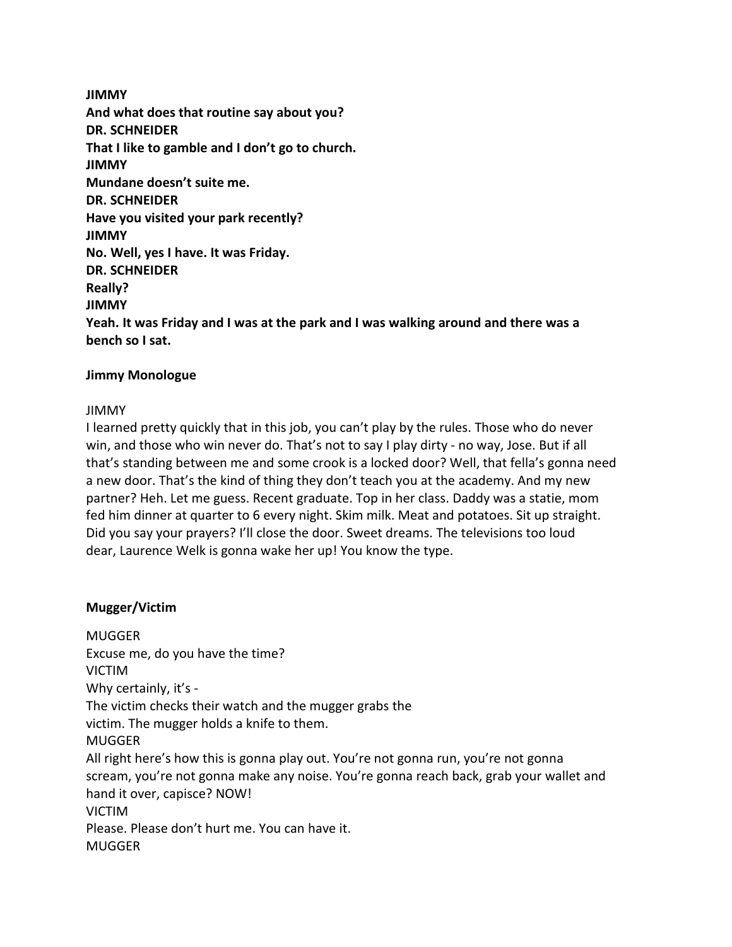**JIMMY And what does that routine say about you? DR. SCHNEIDER That I like to gamble and I don't go to church. JIMMY Mundane doesn't suite me. DR. SCHNEIDER Have you visited your park recently? JIMMY No. Well, yes I have. It was Friday. DR. SCHNEIDER Really? JIMMY Yeah. It was Friday and I was at the park and I was walking around and there was a bench so I sat.**

## **Jimmy Monologue**

#### JIMMY

I learned pretty quickly that in this job, you can't play by the rules. Those who do never win, and those who win never do. That's not to say I play dirty - no way, Jose. But if all that's standing between me and some crook is a locked door? Well, that fella's gonna need a new door. That's the kind of thing they don't teach you at the academy. And my new partner? Heh. Let me guess. Recent graduate. Top in her class. Daddy was a statie, mom fed him dinner at quarter to 6 every night. Skim milk. Meat and potatoes. Sit up straight. Did you say your prayers? I'll close the door. Sweet dreams. The televisions too loud dear, Laurence Welk is gonna wake her up! You know the type.

## **Mugger/Victim**

MUGGER Excuse me, do you have the time? VICTIM Why certainly, it's - The victim checks their watch and the mugger grabs the victim. The mugger holds a knife to them. MUGGER All right here's how this is gonna play out. You're not gonna run, you're not gonna scream, you're not gonna make any noise. You're gonna reach back, grab your wallet and hand it over, capisce? NOW! VICTIM Please. Please don't hurt me. You can have it. MUGGER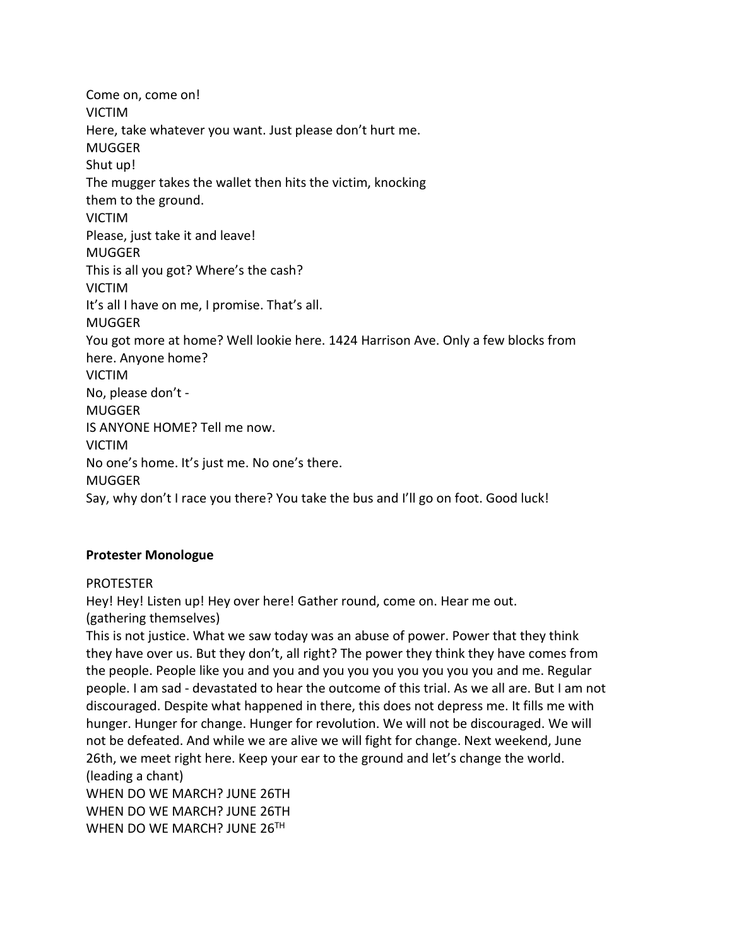Come on, come on! VICTIM Here, take whatever you want. Just please don't hurt me. MUGGER Shut up! The mugger takes the wallet then hits the victim, knocking them to the ground. VICTIM Please, just take it and leave! MUGGER This is all you got? Where's the cash? VICTIM It's all I have on me, I promise. That's all. MUGGER You got more at home? Well lookie here. 1424 Harrison Ave. Only a few blocks from here. Anyone home? VICTIM No, please don't - MUGGER IS ANYONE HOME? Tell me now. VICTIM No one's home. It's just me. No one's there. MUGGER Say, why don't I race you there? You take the bus and I'll go on foot. Good luck!

## **Protester Monologue**

## PROTESTER

Hey! Hey! Listen up! Hey over here! Gather round, come on. Hear me out. (gathering themselves)

This is not justice. What we saw today was an abuse of power. Power that they think they have over us. But they don't, all right? The power they think they have comes from the people. People like you and you and you you you you you you you and me. Regular people. I am sad - devastated to hear the outcome of this trial. As we all are. But I am not discouraged. Despite what happened in there, this does not depress me. It fills me with hunger. Hunger for change. Hunger for revolution. We will not be discouraged. We will not be defeated. And while we are alive we will fight for change. Next weekend, June 26th, we meet right here. Keep your ear to the ground and let's change the world. (leading a chant) WHEN DO WE MARCH? JUNE 26TH WHEN DO WE MARCH? JUNE 26TH WHEN DO WE MARCH? JUNE 26TH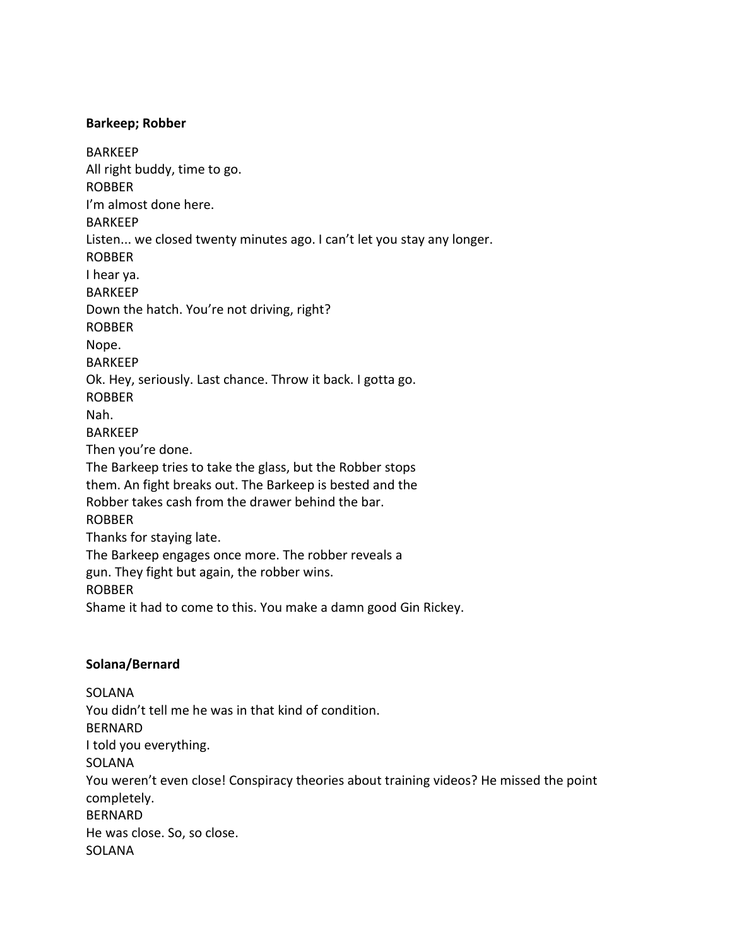#### **Barkeep; Robber**

BARKEEP All right buddy, time to go. ROBBER I'm almost done here. BARKEEP Listen... we closed twenty minutes ago. I can't let you stay any longer. ROBBER I hear ya. BARKEEP Down the hatch. You're not driving, right? ROBBER Nope. BARKEEP Ok. Hey, seriously. Last chance. Throw it back. I gotta go. ROBBER Nah. BARKEEP Then you're done. The Barkeep tries to take the glass, but the Robber stops them. An fight breaks out. The Barkeep is bested and the Robber takes cash from the drawer behind the bar. ROBBER Thanks for staying late. The Barkeep engages once more. The robber reveals a gun. They fight but again, the robber wins. ROBBER Shame it had to come to this. You make a damn good Gin Rickey.

## **Solana/Bernard**

SOLANA You didn't tell me he was in that kind of condition. BERNARD I told you everything. SOLANA You weren't even close! Conspiracy theories about training videos? He missed the point completely. BERNARD He was close. So, so close. **SOLANA**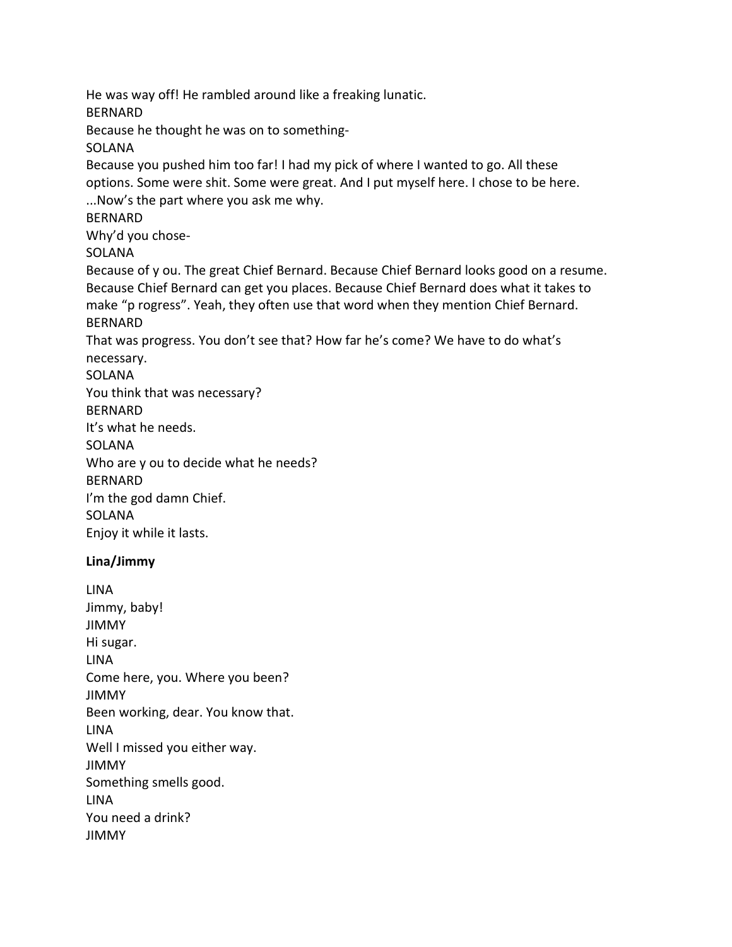He was way off! He rambled around like a freaking lunatic. BERNARD Because he thought he was on to something-**SOLANA** Because you pushed him too far! I had my pick of where I wanted to go. All these options. Some were shit. Some were great. And I put myself here. I chose to be here. ...Now's the part where you ask me why. BERNARD Why'd you chose-SOLANA Because of y ou. The great Chief Bernard. Because Chief Bernard looks good on a resume. Because Chief Bernard can get you places. Because Chief Bernard does what it takes to make "p rogress". Yeah, they often use that word when they mention Chief Bernard. BERNARD That was progress. You don't see that? How far he's come? We have to do what's necessary. SOLANA You think that was necessary? BERNARD It's what he needs. SOLANA Who are y ou to decide what he needs? BERNARD I'm the god damn Chief. **SOLANA** Enjoy it while it lasts.

# **Lina/Jimmy**

LINA Jimmy, baby! JIMMY Hi sugar. LINA Come here, you. Where you been? JIMMY Been working, dear. You know that. LINA Well I missed you either way. JIMMY Something smells good. LINA You need a drink? JIMMY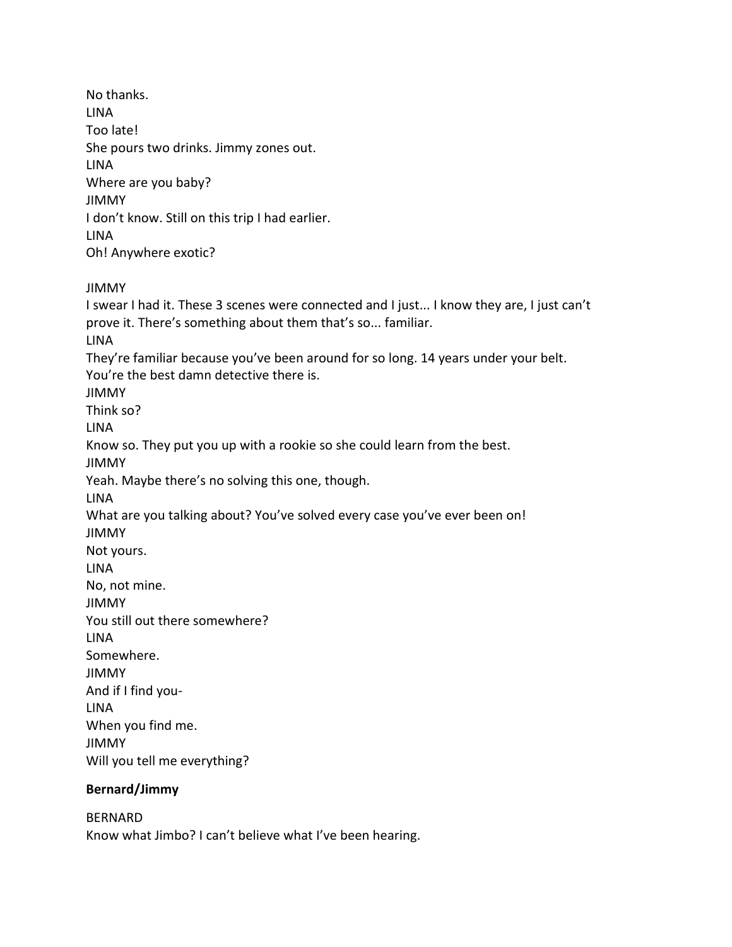No thanks. LINA Too late! She pours two drinks. Jimmy zones out. LINA Where are you baby? JIMMY I don't know. Still on this trip I had earlier. LINA Oh! Anywhere exotic?

JIMMY

I swear I had it. These 3 scenes were connected and I just... I know they are, I just can't prove it. There's something about them that's so... familiar. LINA They're familiar because you've been around for so long. 14 years under your belt. You're the best damn detective there is. JIMMY Think so? LINA Know so. They put you up with a rookie so she could learn from the best. JIMMY Yeah. Maybe there's no solving this one, though. LINA What are you talking about? You've solved every case you've ever been on! JIMMY Not yours. LINA No, not mine. JIMMY You still out there somewhere? LINA Somewhere. JIMMY And if I find you-LINA When you find me. JIMMY Will you tell me everything?

## **Bernard/Jimmy**

BERNARD Know what Jimbo? I can't believe what I've been hearing.